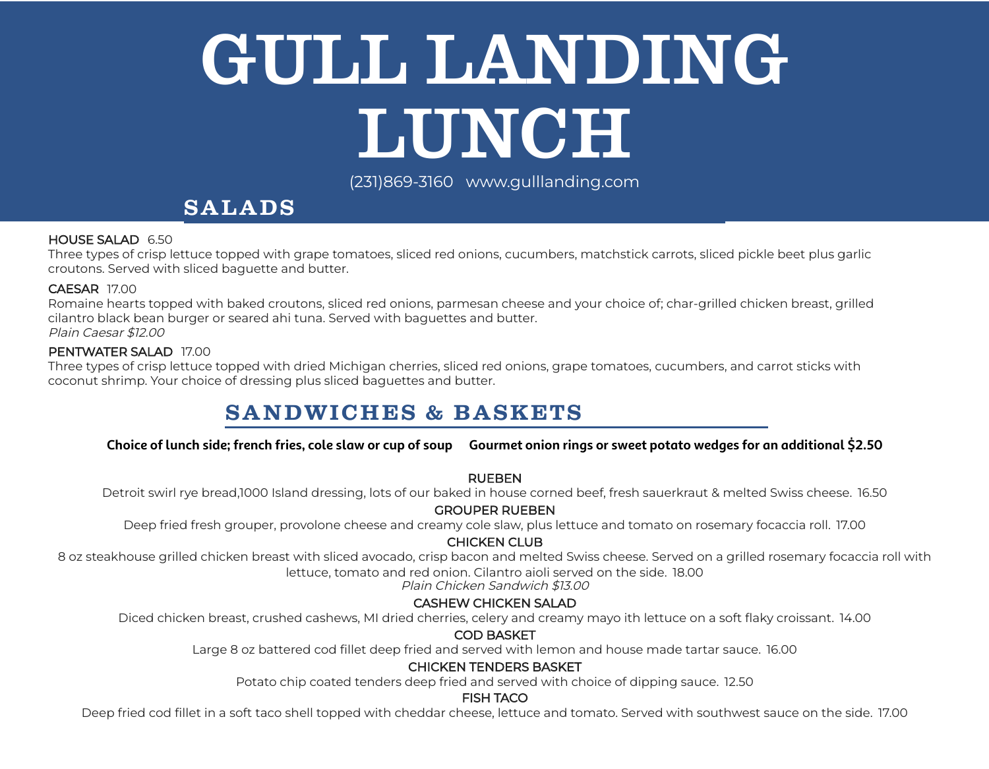# GULL LANDING LUNCH

(2 31)869 -3160 www.g ullland ing.com

# **SALADS**

#### HOUSE SALAD 6.50

Three types of crisp lettuce topped with grape tomatoes, sliced red onions, cucumbers, matchstick carrots, sliced pickle beet plus garlic croutons. Served with sliced baguette and butter.

#### CAESAR 17.00

Romaine hearts topped with baked croutons, sliced red onions, parmesan cheese and your choice of; char-grilled chicken breast, grilled cilantro black bean burger or seared ahi tuna. Served with baguettes and butter. Plain Caesar \$12.00

#### PENTWATER SALAD 17.00

Three types of crisp lettuce topped with dried Michigan cherries, sliced red onions, grape tomatoes, cucumbers, and carrot sticks with coconut shrimp. Your choice of dressing plus sliced baguettes and butter.

# **SANDWICHES & BASKETS**

#### Choice of lunch side; french fries, cole slaw or cup of soup Gourmet onion rings or sweet potato wedges for an additional \$2.50

#### RUEBEN

Detroit swirl rye bread,1000 Island dressing, lots of our baked in house corned beef, fresh sauerkraut & melted Swiss cheese. 16.50

#### GROUPER RUEBEN

Deep fried fresh grouper, provolone cheese and creamy cole slaw, plus lettuce and tomato on rosemary focaccia roll. 17.00

#### CHICKEN CLUB

8 oz steakhouse grilled chicken breast with sliced avocado, crisp bacon and melted Swiss cheese. Served on a grilled rosemary focaccia roll with lettuce, tomato and red onion. Cilantro aioli served on the side. 18.00

Plain Chicken Sandwich \$13.00

## CASHEW CHICKEN SALAD

Diced chicken breast, crushed cashews, MI dried cherries, celery and creamy mayo ith lettuce on a soft flaky croissant. 14.00

#### COD BASKET

Large 8 oz battered cod fillet deep fried and served with lemon and house made tartar sauce. 16.00

#### CHICKEN TENDERS BASKET

Potato chip coated tenders deep fried and served with choice of dipping sauce. 12.50

#### FISH TACO

Deep fried cod fillet in a soft taco shell topped with cheddar cheese, lettuce and tomato. Served with southwest sauce on the side. 17.00